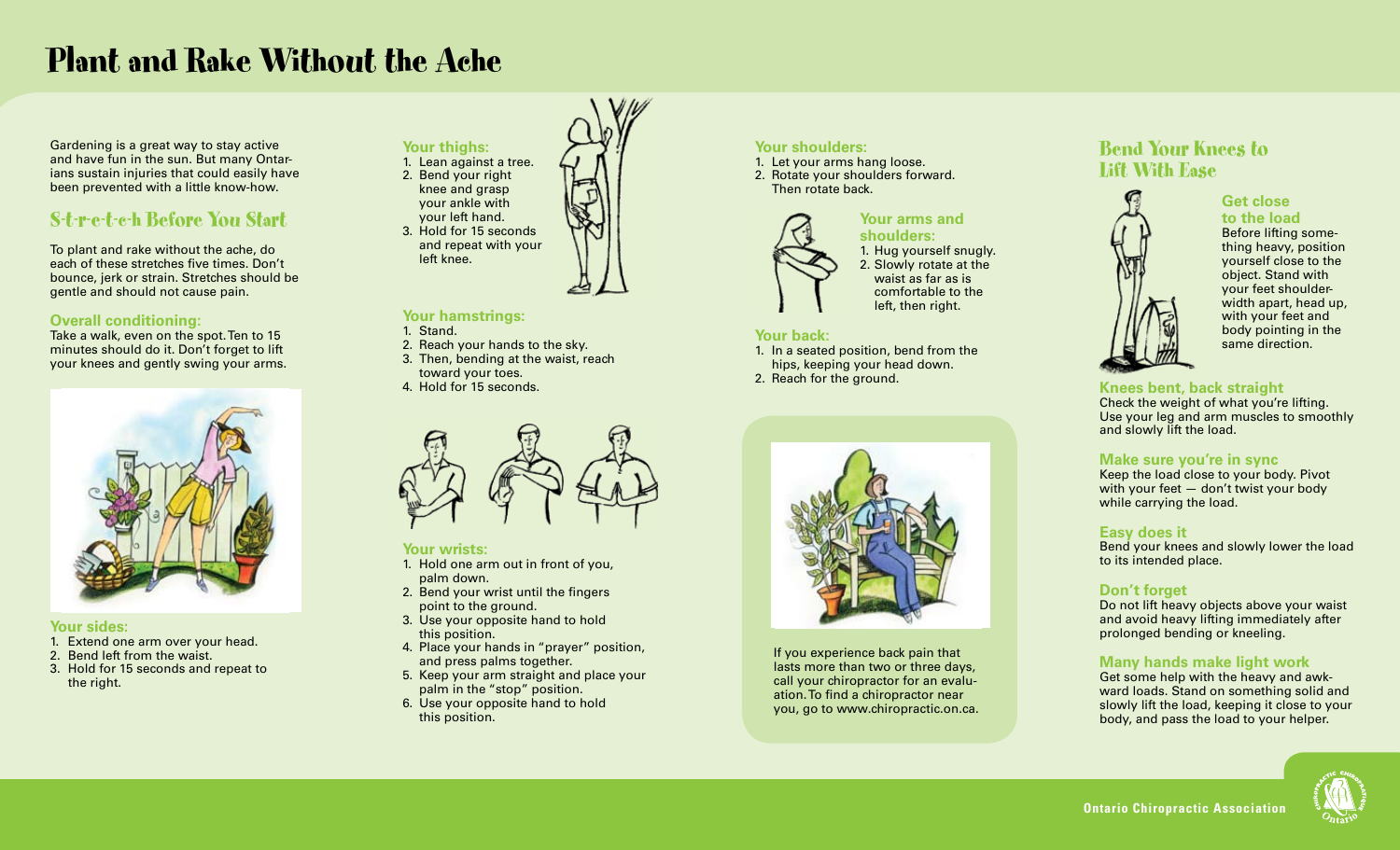# Plant and Rake Without the Ache

Gardening is a great way to stay active and have fun in the sun. But many Ontarians sustain injuries that could easily have been prevented with a little know-how.

# S-t-r-e-t-c-h Before You Start

To plant and rake without the ache, do each of these stretches five times. Don't bounce, jerk or strain. Stretches should be gentle and should not cause pain.

## **Overall conditioning:**

Take a walk, even on the spot. Ten to 15 minutes should do it. Don't forget to lift your knees and gently swing your arms.



#### **Your sides:**

- 1. Extend one arm over your head.
- 2. Bend left from the waist.
- 3. Hold for 15 seconds and repeat to the right.



### **Your hamstrings:**

- 1. Stand.
- 2. Reach your hands to the sky.
- 3. Then, bending at the waist, reach
- toward your toes. 4. Hold for 15 seconds.
- 



#### **Your wrists:**

- 1. Hold one arm out in front of you, palm down.
- 2. Bend your wrist until the fingers point to the ground.
- 3. Use your opposite hand to hold this position.
- 4. Place your hands in "prayer" position, and press palms together.
- 5. Keep your arm straight and place your palm in the "stop" position.
- 6. Use your opposite hand to hold this position.

# **Your shoulders:**

1. Let your arms hang loose. 2. Rotate your shoulders forward. Then rotate back.



**shoulders:** 1. Hug yourself snugly. 2. Slowly rotate at the waist as far as is comfortable to the left, then right.

**Your arms and** 

#### **Your back:**

- 1. In a seated position, bend from the hips, keeping your head down.
- 2. Reach for the ground.



If you experience back pain that lasts more than two or three days, call your chiropractor for an evaluation.To find a chiropractor near you, go to www.chiropractic.on.ca.

# Bend Your Knees to Lift With Ease



# **Get close to the load**

Before lifting something heavy, position yourself close to the object. Stand with your feet shoulderwidth apart, head up, with your feet and body pointing in the same direction.

## **Knees bent, back straight**

Check the weight of what you're lifting. Use your leg and arm muscles to smoothly and slowly lift the load.

## **Make sure you're in sync**

Keep the load close to your body. Pivot with your feet — don't twist your body while carrying the load.

#### **Easy does it**

Bend your knees and slowly lower the load to its intended place.

## **Don't forget**

Do not lift heavy objects above your waist and avoid heavy lifting immediately after prolonged bending or kneeling.

## **Many hands make light work**

Get some help with the heavy and awkward loads. Stand on something solid and slowly lift the load, keeping it close to your body, and pass the load to your helper.